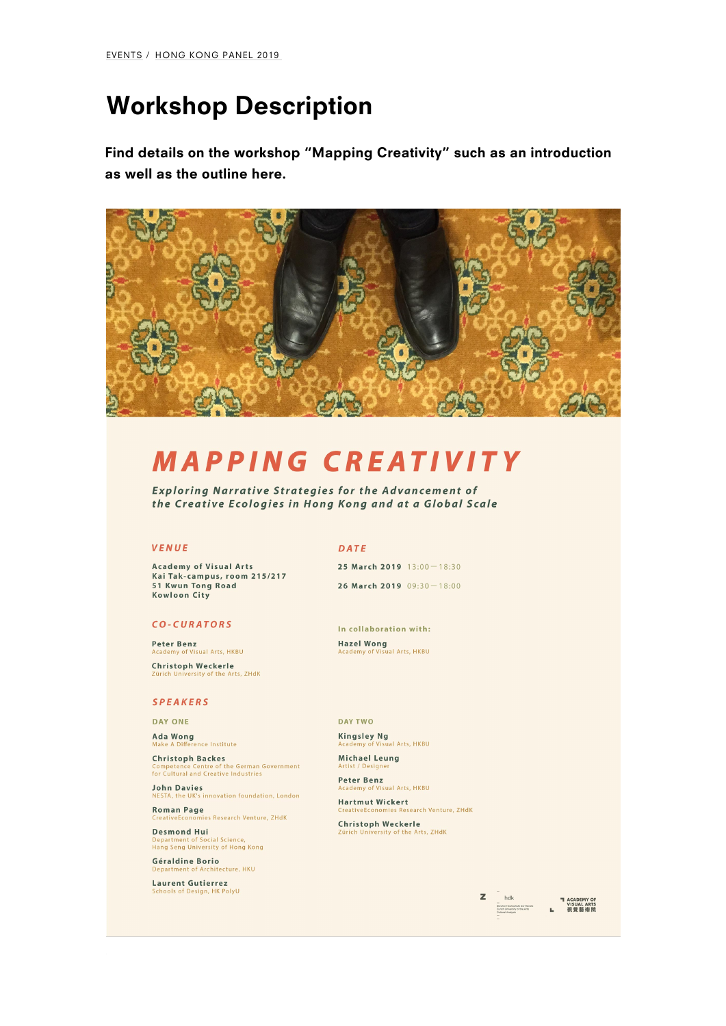# [W](/events/)[orkshop](/events/hong-kong-panel-2019/) Description

Find details on the workshop Mapping Creativity such as an int as well as the outline here.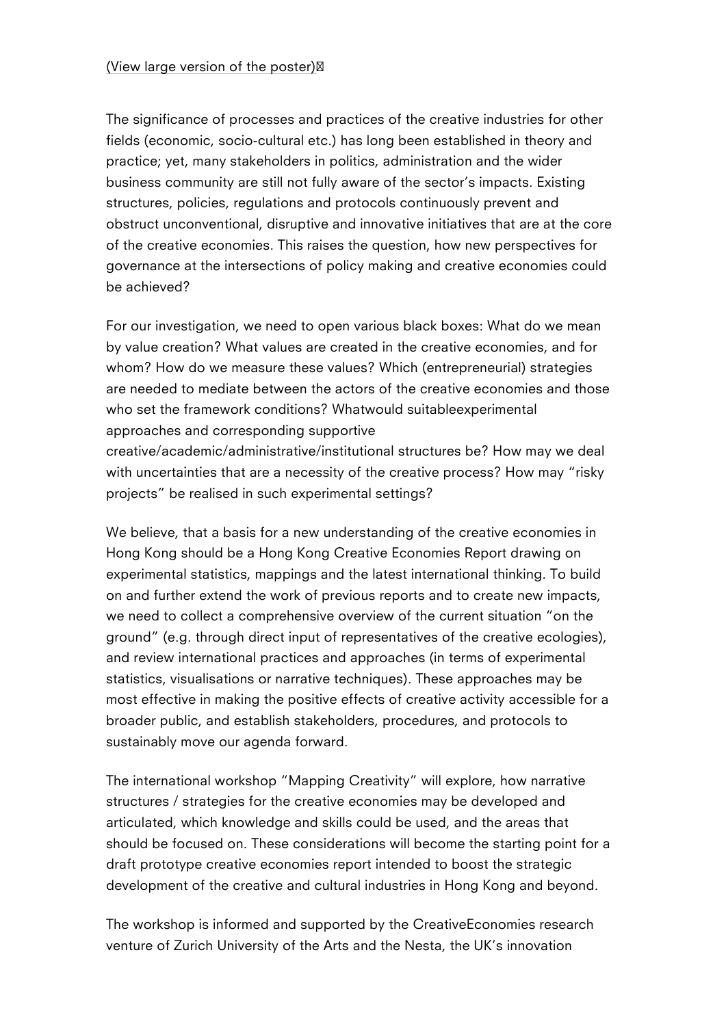(View large version of the poster)

[The significance of p](http://creativeeconomies.zhdk.ch/images-entry/ava.jpg)rocesses and practices of the creative indu fields (economic, socio-cultural etc.) has long been established practice; yet, many stakeholders in politics, administration and business community are still not fully aware of the sector s imp structures, policies, regulations and protocols continuously prev obstruct unconventional, disruptive and innovative initiatives th of the creative economies. This raises the question, how new pe governance at the intersections of policy making and creative  $e \cdot$ be achieved?

For our investigation, we need to open various black boxes: What by value creation? What values are created in the creative econ whom? How do we measure these values? Which (entrepreneurial) are needed to mediate between the actors of the creative econo who set the framework conditions? Whatwould suitableexperiment approaches and corresponding supportive creative/academic/administrative/institutional structures be? Ho with uncertainties that are a necessity of the creative process? projects be realised in such experimental settings?

We believe, that a basis for a new understanding of the creative Hong Kong should be a Hong Kong Creative Economies Report dr experimental statistics, mappings and the latest international th on and further extend the work of previous reports and to create we need to collect a comprehensive overview of the current situ ground (e.g. through direct input of representatives of the crea and review international practices and approaches (in terms of  $\epsilon$ statistics, visualisations or narrative techniques). These approa most effective in making the positive effects of creative activity broader public, and establish stakeholders, procedures, and pro sustainably move our agenda forward.

The international workshop Mapping Creativity will explore, ho structures / strategies for the creative economies may be develo articulated, which knowledge and skills could be used, and the a should be focused on. These considerations will become the sta draft prototype creative economies report intended to boost the development of the creative and cultural industries in Hong Kon

The workshop is informed and supported by the CreativeEconomi venture of Zurich University of the Arts and the Nesta, the UK s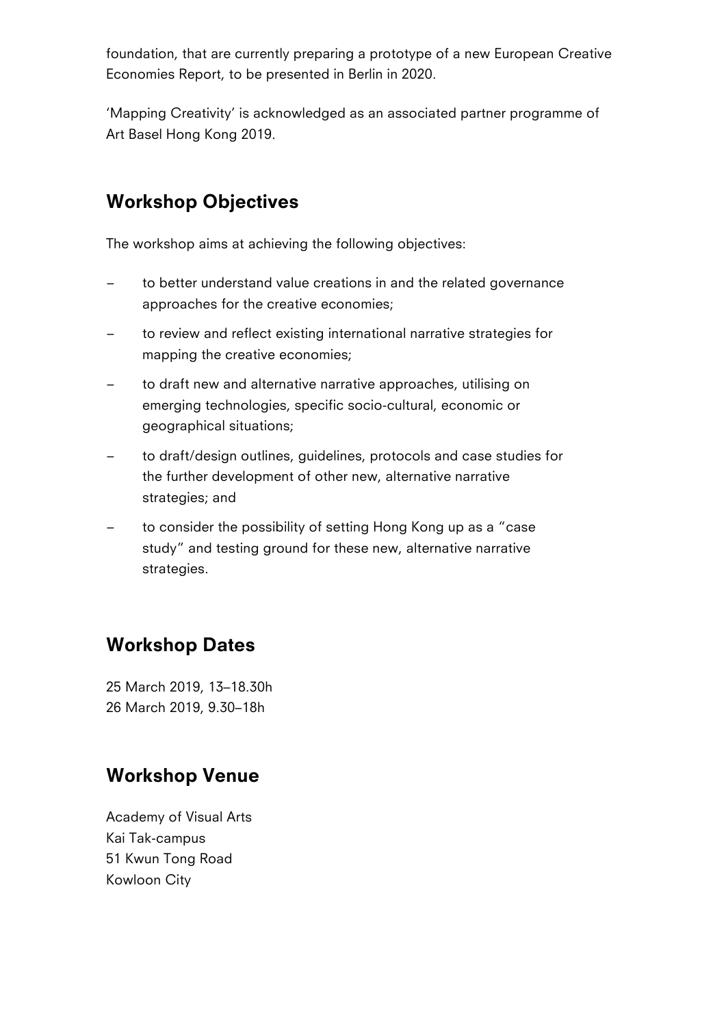foundation, that are currently preparing a prototype of a new European Creative Economies Report, to be presented in Berlin in 2020.

'Mapping Creativity' is acknowledged as an associated partner programme of Art Basel Hong Kong 2019.

#### Workshop Objectives

The workshop aims at achieving the following objectives:

- to better understand value creations in and the related governance approaches for the creative economies;
- to review and reflect existing international narrative strategies for mapping the creative economies;
- to draft new and alternative narrative approaches, utilising on emerging technologies, specific socio-cultural, economic or geographical situations;
- to draft/design outlines, guidelines, protocols and case studies for the further development of other new, alternative narrative strategies; and
- to consider the possibility of setting Hong Kong up as a "case study" and testing ground for these new, alternative narrative strategies.

#### Workshop Dates

25 March 2019, 13–18.30h 26 March 2019, 9.30–18h

#### Workshop Venue

Academy of Visual Arts Kai Tak-campus 51 Kwun Tong Road Kowloon City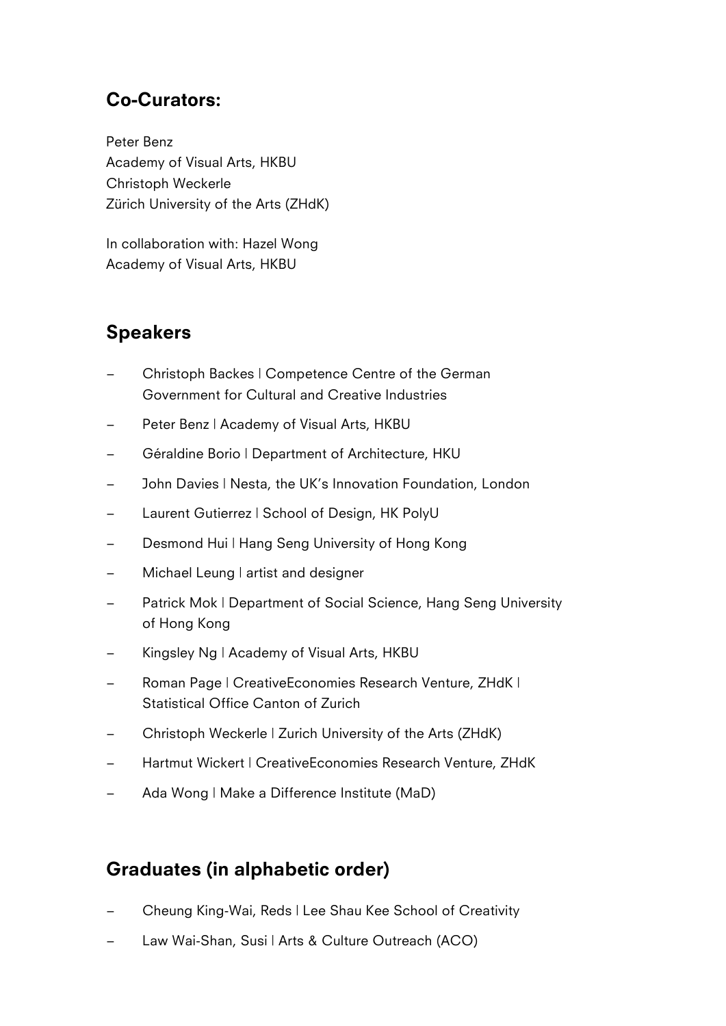### Co-Curators:

Peter Benz Academy of Visual Arts, HKBU Christoph Weckerle Zürich University of the Arts (ZHdK)

In collaboration with: Hazel Wong Academy of Visual Arts, HKBU

## Speakers

- Christoph Backes | Competence Centre of the German Government for Cultural and Creative Industries
- Peter Benz | Academy of Visual Arts, HKBU
- Géraldine Borio | Department of Architecture, HKU
- John Davies | Nesta, the UK's Innovation Foundation, London
- Laurent Gutierrez | School of Design, HK PolyU
- Desmond Hui | Hang Seng University of Hong Kong
- Michael Leung | artist and designer
- Patrick Mok | Department of Social Science, Hang Seng University of Hong Kong
- Kingsley Ng | Academy of Visual Arts, HKBU
- Roman Page | CreativeEconomies Research Venture, ZHdK | Statistical Office Canton of Zurich
- Christoph Weckerle | Zurich University of the Arts (ZHdK)
- Hartmut Wickert | CreativeEconomies Research Venture, ZHdK
- Ada Wong | Make a Difference Institute (MaD)

#### Graduates (in alphabetic order)

- Cheung King-Wai, Reds | Lee Shau Kee School of Creativity
- Law Wai-Shan, Susi | Arts & Culture Outreach (ACO)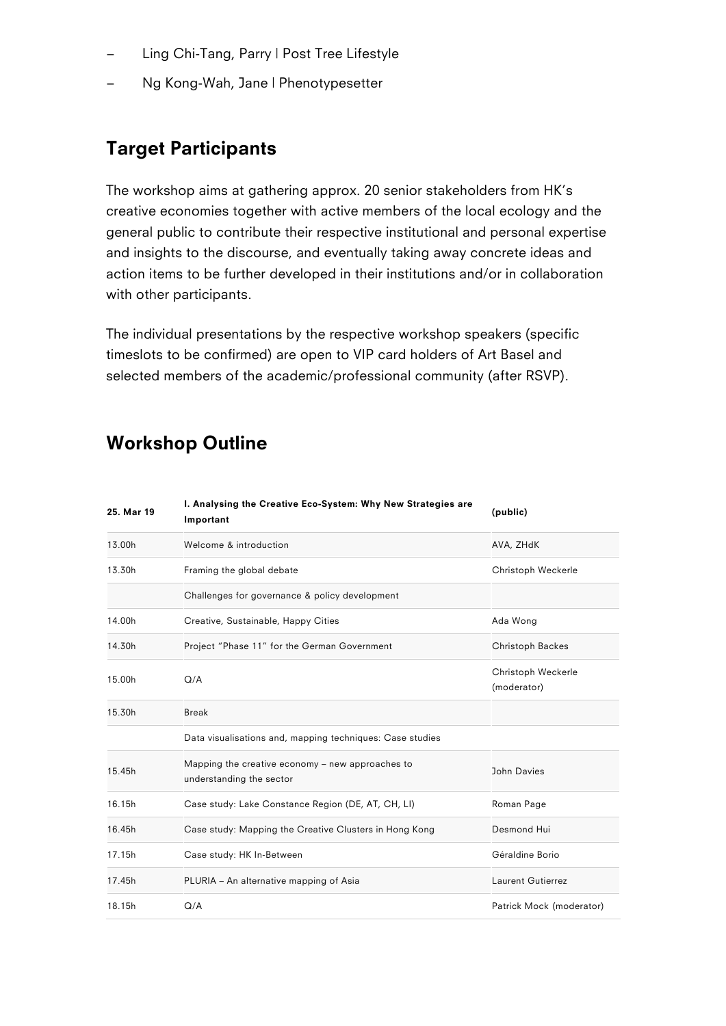- Ling Chi-Tang, Parry | Post Tree Lifestyle
- Ng Kong-Wah, Jane | Phenotypesetter

#### Target Participants

The workshop aims at gathering approx. 20 senior stakeholders from HK's creative economies together with active members of the local ecology and the general public to contribute their respective institutional and personal expertise and insights to the discourse, and eventually taking away concrete ideas and action items to be further developed in their institutions and/or in collaboration with other participants.

The individual presentations by the respective workshop speakers (specific timeslots to be confirmed) are open to VIP card holders of Art Basel and selected members of the academic/professional community (after RSVP).

#### Workshop Outline

| 25. Mar 19 | I. Analysing the Creative Eco-System: Why New Strategies are<br>Important    | (public)                          |
|------------|------------------------------------------------------------------------------|-----------------------------------|
| 13.00h     | Welcome & introduction                                                       | AVA, ZHdK                         |
| 13.30h     | Framing the global debate                                                    | Christoph Weckerle                |
|            | Challenges for governance & policy development                               |                                   |
| 14.00h     | Creative, Sustainable, Happy Cities                                          | Ada Wong                          |
| 14.30h     | Project "Phase 11" for the German Government                                 | Christoph Backes                  |
| 15.00h     | Q/A                                                                          | Christoph Weckerle<br>(moderator) |
| 15.30h     | <b>Break</b>                                                                 |                                   |
|            | Data visualisations and, mapping techniques: Case studies                    |                                   |
| 15.45h     | Mapping the creative economy - new approaches to<br>understanding the sector | John Davies                       |
| 16.15h     | Case study: Lake Constance Region (DE, AT, CH, LI)                           | Roman Page                        |
| 16.45h     | Case study: Mapping the Creative Clusters in Hong Kong                       | Desmond Hui                       |
| 17.15h     | Case study: HK In-Between                                                    | Géraldine Borio                   |
| 17.45h     | PLURIA - An alternative mapping of Asia                                      | <b>Laurent Gutierrez</b>          |
| 18.15h     | Q/A                                                                          | Patrick Mock (moderator)          |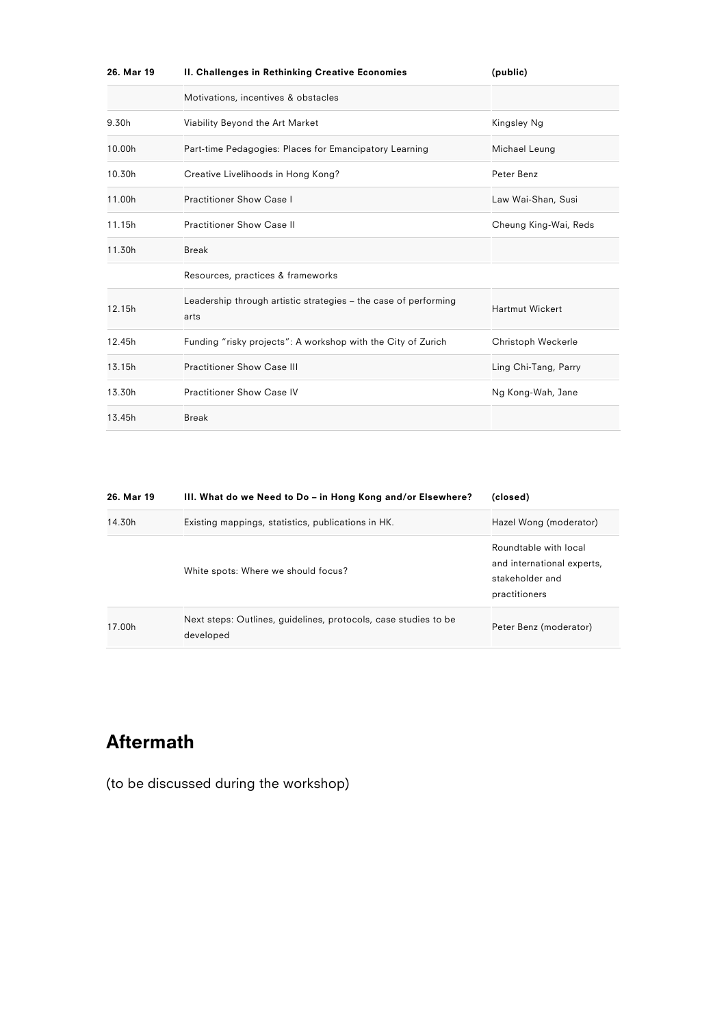| 26. Mar 19 | II. Challenges in Rethinking Creative Economies                         | (public)               |
|------------|-------------------------------------------------------------------------|------------------------|
|            | Motivations, incentives & obstacles                                     |                        |
| 9.30h      | Viability Beyond the Art Market                                         | Kingsley Ng            |
| 10.00h     | Part-time Pedagogies: Places for Emancipatory Learning                  | Michael Leung          |
| 10.30h     | Creative Livelihoods in Hong Kong?                                      | Peter Benz             |
| 11.00h     | <b>Practitioner Show Case I</b>                                         | Law Wai-Shan, Susi     |
| 11.15h     | <b>Practitioner Show Case II</b>                                        | Cheung King-Wai, Reds  |
| 11.30h     | <b>Break</b>                                                            |                        |
|            | Resources, practices & frameworks                                       |                        |
| 12.15h     | Leadership through artistic strategies – the case of performing<br>arts | <b>Hartmut Wickert</b> |
| 12.45h     | Funding "risky projects": A workshop with the City of Zurich            | Christoph Weckerle     |
| 13.15h     | <b>Practitioner Show Case III</b>                                       | Ling Chi-Tang, Parry   |
| 13.30h     | <b>Practitioner Show Case IV</b>                                        | Ng Kong-Wah, Jane      |
| 13.45h     | <b>Break</b>                                                            |                        |

| 26. Mar 19 | III. What do we Need to Do - in Hong Kong and/or Elsewhere?                  | (closed)                                                                                |
|------------|------------------------------------------------------------------------------|-----------------------------------------------------------------------------------------|
| 14.30h     | Existing mappings, statistics, publications in HK.                           | Hazel Wong (moderator)                                                                  |
|            | White spots: Where we should focus?                                          | Roundtable with local<br>and international experts,<br>stakeholder and<br>practitioners |
| 17.00h     | Next steps: Outlines, guidelines, protocols, case studies to be<br>developed | Peter Benz (moderator)                                                                  |

## Aftermath

(to be discussed during the workshop)